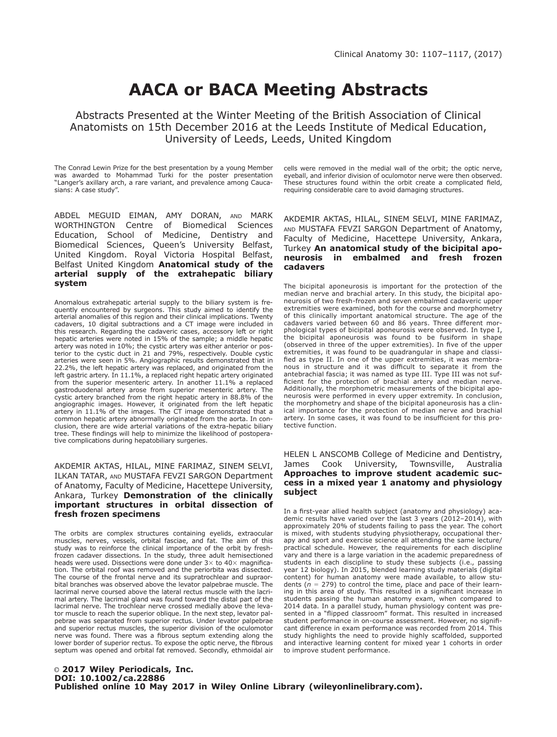# AACA or BACA Meeting Abstracts

Abstracts Presented at the Winter Meeting of the British Association of Clinical Anatomists on 15th December 2016 at the Leeds Institute of Medical Education, University of Leeds, Leeds, United Kingdom

The Conrad Lewin Prize for the best presentation by a young Member was awarded to Mohammad Turki for the poster presentation "Langer's axillary arch, a rare variant, and prevalence among Caucasians: A case study".

ABDEL MEGUID EIMAN, AMY DORAN, AND MARK WORTHINGTON Centre of Biomedical Sciences Education, School of Medicine, Dentistry and Biomedical Sciences, Queen's University Belfast, United Kingdom. Royal Victoria Hospital Belfast, Belfast United Kingdom Anatomical study of the arterial supply of the extrahepatic biliary system

Anomalous extrahepatic arterial supply to the biliary system is fre-quently encountered by surgeons. This study aimed to identify the arterial anomalies of this region and their clinical implications. Twenty cadavers, 10 digital subtractions and a CT image were included in this research. Regarding the cadaveric cases, accessory left or right hepatic arteries were noted in 15% of the sample; a middle hepatic artery was noted in 10%; the cystic artery was either anterior or posterior to the cystic duct in 21 and 79%, respectively. Double cystic arteries were seen in 5%. Angiographic results demonstrated that in 22.2%, the left hepatic artery was replaced, and originated from the left gastric artery. In 11.1%, a replaced right hepatic artery originated from the superior mesenteric artery. In another 11.1% a replaced gastroduodenal artery arose from superior mesenteric artery. The cystic artery branched from the right hepatic artery in 88.8% of the angiographic images. However, it originated from the left hepatic artery in 11.1% of the images. The CT image demonstrated that a common hepatic artery abnormally originated from the aorta. In conclusion, there are wide arterial variations of the extra-hepatic biliary tree. These findings will help to minimize the likelihood of postoperative complications during hepatobiliary surgeries.

AKDEMIR AKTAS, HILAL, MINE FARIMAZ, SINEM SELVI, ILKAN TATAR, AND MUSTAFA FEVZI SARGON Department of Anatomy, Faculty of Medicine, Hacettepe University, Ankara, Turkey Demonstration of the clinically important structures in orbital dissection of fresh frozen specimens

The orbits are complex structures containing eyelids, extraocular muscles, nerves, vessels, orbital fasciae, and fat. The aim of this study was to reinforce the clinical importance of the orbit by freshfrozen cadaver dissections. In the study, three adult hemisectioned heads were used. Dissections were done under  $3 \times$  to  $40 \times$  magnification. The orbital roof was removed and the periorbita was dissected. The course of the frontal nerve and its supratrochlear and supraorbital branches was observed above the levator palpebrae muscle. The lacrimal nerve coursed above the lateral rectus muscle with the lacrimal artery. The lacrimal gland was found toward the distal part of the lacrimal nerve. The trochlear nerve crossed medially above the levator muscle to reach the superior oblique. In the next step, levator palpebrae was separated from superior rectus. Under levator palpebrae and superior rectus muscles, the superior division of the oculomotor nerve was found. There was a fibrous septum extending along the lower border of superior rectus. To expose the optic nerve, the fibrous septum was opened and orbital fat removed. Secondly, ethmoidal air

cells were removed in the medial wall of the orbit; the optic nerve, eyeball, and inferior division of oculomotor nerve were then observed. These structures found within the orbit create a complicated field, requiring considerable care to avoid damaging structures.

AKDEMIR AKTAS, HILAL, SINEM SELVI, MINE FARIMAZ, AND MUSTAFA FEVZI SARGON Department of Anatomy, Faculty of Medicine, Hacettepe University, Ankara, Turkey An anatomical study of the bicipital aponeurosis in embalmed and fresh frozen cadavers

The bicipital aponeurosis is important for the protection of the median nerve and brachial artery. In this study, the bicipital aponeurosis of two fresh-frozen and seven embalmed cadaveric upper extremities were examined, both for the course and morphometry of this clinically important anatomical structure. The age of the cadavers varied between 60 and 86 years. Three different morphological types of bicipital aponeurosis were observed. In type I, the bicipital aponeurosis was found to be fusiform in shape (observed in three of the upper extremities). In five of the upper extremities, it was found to be quadrangular in shape and classified as type II. In one of the upper extremities, it was membranous in structure and it was difficult to separate it from the antebrachial fascia; it was named as type III. Type III was not sufficient for the protection of brachial artery and median nerve. Additionally, the morphometric measurements of the bicipital aponeurosis were performed in every upper extremity. In conclusion, the morphometry and shape of the bicipital aponeurosis has a clin-ical importance for the protection of median nerve and brachial artery. In some cases, it was found to be insufficient for this protective function.

HELEN L ANSCOMB College of Medicine and Dentistry, James Cook University, Townsville, Australia Approaches to improve student academic success in a mixed year 1 anatomy and physiology subject

In a first-year allied health subject (anatomy and physiology) academic results have varied over the last 3 years (2012–2014), with approximately 20% of students failing to pass the year. The cohort is mixed, with students studying physiotherapy, occupational therapy and sport and exercise science all attending the same lecture/ practical schedule. However, the requirements for each discipline vary and there is a large variation in the academic preparedness of students in each discipline to study these subjects (i.e., passing year 12 biology). In 2015, blended learning study materials (digital content) for human anatomy were made available, to allow students ( $n = 279$ ) to control the time, place and pace of their learning in this area of study. This resulted in a significant increase in students passing the human anatomy exam, when compared to 2014 data. In a parallel study, human physiology content was presented in a "flipped classroom" format. This resulted in increased student performance in on-course assessment. However, no significant difference in exam performance was recorded from 2014. This study highlights the need to provide highly scaffolded, supported and interactive learning content for mixed year 1 cohorts in order to improve student performance.

 $\circ$  2017 Wiley Periodicals, Inc. DOI: 10.1002/ca.22886 Published online 10 May 2017 in Wiley Online Library (wileyonlinelibrary.com).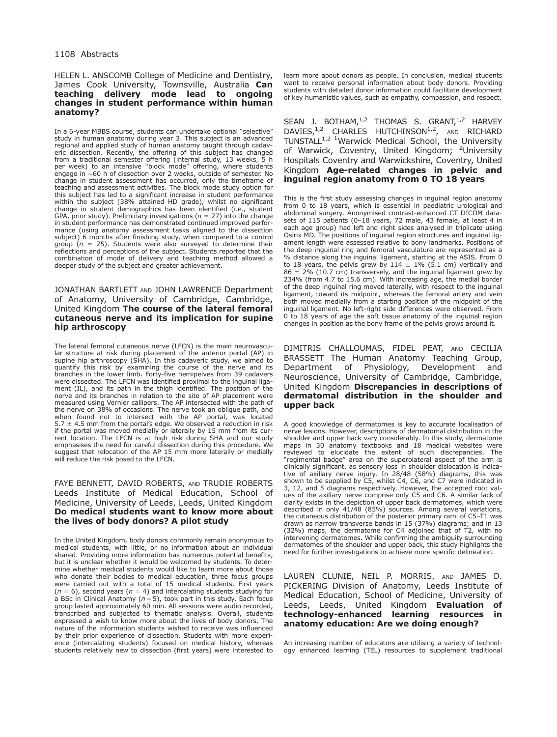HELEN L. ANSCOMB College of Medicine and Dentistry, James Cook University, Townsville, Australia Can teaching delivery mode lead to ongoing changes in student performance within human anatomy?

In a 6-year MBBS course, students can undertake optional "selective" study in human anatomy during year 3. This subject is an advanced regional and applied study of human anatomy taught through cadav-eric dissection. Recently, the offering of this subject has changed from a traditional semester offering (internal study, 13 weeks, 5 h per week) to an intensive "block mode" offering, where students engage in -60 h of dissection over 2 weeks, outside of semester. No change in student assessment has occurred, only the timeframe of teaching and assessment activities. The block mode study option for this subject has led to a significant increase in student performance within the subject (38% attained HD grade), whilst no significant change in student demographics has been identified (i.e., student GPA, prior study). Preliminary investigations ( $n = 27$ ) into the change in student performance has demonstrated continued improved performance (using anatomy assessment tasks aligned to the dissection subject) 6 months after finishing study, when compared to a control<br>group (*n* = 25). Students were also surveyed to determine their reflections and perceptions of the subject. Students reported that the combination of mode of delivery and teaching method allowed a deeper study of the subject and greater achievement.

JONATHAN BARTLETT AND JOHN LAWRENCE Department of Anatomy, University of Cambridge, Cambridge, United Kingdom The course of the lateral femoral cutaneous nerve and its implication for supine hip arthroscopy

The lateral femoral cutaneous nerve (LFCN) is the main neurovascular structure at risk during placement of the anterior portal (AP) in supine hip arthroscopy (SHA). In this cadaveric study, we aimed to quantify this risk by examining the course of the nerve and its branches in the lower limb. Forty-five hemipelves from 39 cadavers were dissected. The LFCN was identified proximal to the inguinal ligament (IL), and its path in the thigh identified. The position of the nerve and its branches in relation to the site of AP placement were measured using Vernier callipers. The AP intersected with the path of the nerve on 38% of occasions. The nerve took an oblique path, and when found not to intersect with the AP portal, was located 5.7  $\pm$  4.5 mm from the portal's edge. We observed a reduction in risk if the portal was moved medially or laterally by 15 mm from its current location. The LFCN is at high risk during SHA and our study emphasises the need for careful dissection during this procedure. We suggest that relocation of the AP 15 mm more laterally or medially will reduce the risk posed to the LFCN.

FAYE BENNETT, DAVID ROBERTS, AND TRUDIE ROBERTS Leeds Institute of Medical Education, School of Medicine, University of Leeds, Leeds, United Kingdom Do medical students want to know more about the lives of body donors? A pilot study

In the United Kingdom, body donors commonly remain anonymous to medical students, with little, or no information about an individual shared. Providing more information has numerous potential benefits, but it is unclear whether it would be welcomed by students. To determine whether medical students would like to learn more about those who donate their bodies to medical education, three focus groups were carried out with a total of 15 medical students. First years  $(n = 6)$ , second years  $(n = 4)$  and intercalating students studying for a BSc in Clinical Anatomy ( $n = 5$ ), took part in this study. Each focus group lasted approximately 60 min. All sessions were audio recorded, transcribed and subjected to thematic analysis. Overall, students expressed a wish to know more about the lives of body donors. The nature of the information students wished to receive was influenced by their prior experience of dissection. Students with more experience (intercalating students) focused on medical history, whereas students relatively new to dissection (first years) were interested to learn more about donors as people. In conclusion, medical students want to receive personal information about body donors. Providing students with detailed donor information could facilitate development of key humanistic values, such as empathy, compassion, and respect.

SEAN J. BOTHAM, $1,2$  THOMAS S. GRANT, $1,2$  HARVEY  $DAVIES$ ,<sup>1,2</sup> CHARLES HUTCHINSON<sup>1,2</sup>, AND RICHARD TUNSTALL<sup>1,2</sup> <sup>1</sup>Warwick Medical School, the University of Warwick, Coventry, United Kingdom; <sup>2</sup>University Hospitals Coventry and Warwickshire, Coventry, United Kingdom Age-related changes in pelvic and inguinal region anatomy from 0 TO 18 years

This is the first study assessing changes in inguinal region anatomy from 0 to 18 years, which is essential in paediatric urological and abdominal surgery. Anonymised contrast-enhanced CT DICOM datasets of 115 patients (0–18 years, 72 male, 43 female, at least 4 in each age group) had left and right sides analysed in triplicate using Osirix MD. The positions of inguinal region structures and inguinal ligament length were assessed relative to bony landmarks. Positions of the deep inguinal ring and femoral vasculature are represented as a % distance along the inguinal ligament, starting at the ASIS. From 0 to 18 years, the pelvis grew by 114  $\pm$  1% (5.1 cm) vertically and  $86 \pm 2\%$  (10.7 cm) transversely, and the inguinal ligament grew by 234% (from 4.7 to 15.6 cm). With increasing age, the medial border of the deep inguinal ring moved laterally, with respect to the inguinal ligament, toward its midpoint, whereas the femoral artery and vein both moved medially from a starting position of the midpoint of the inguinal ligament. No left-right side differences were observed. From 0 to 18 years of age the soft tissue anatomy of the inguinal region changes in position as the bony frame of the pelvis grows around it.

DIMITRIS CHALLOUMAS, FIDEL PEAT, AND CECILIA BRASSETT The Human Anatomy Teaching Group, Department of Physiology, Development and Neuroscience, University of Cambridge, Cambridge, United Kingdom Discrepancies in descriptions of dermatomal distribution in the shoulder and upper back

A good knowledge of dermatomes is key to accurate localisation of nerve lesions. However, descriptions of dermatomal distribution in the shoulder and upper back vary considerably. In this study, dermatome maps in 30 anatomy textbooks and 18 medical websites were reviewed to elucidate the extent of such discrepancies. The "regimental badge" area on the superolateral aspect of the arm is clinically significant, as sensory loss in shoulder dislocation is indicative of axillary nerve injury. In 28/48 (58%) diagrams, this was shown to be supplied by C5, whilst C4, C6, and C7 were indicated in 3, 12, and 5 diagrams respectively. However, the accepted root values of the axillary nerve comprise only C5 and C6. A similar lack of clarity exists in the depiction of upper back dermatomes, which were described in only 41/48 (85%) sources. Among several variations, the cutaneous distribution of the posterior primary rami of C5–T1 was drawn as narrow transverse bands in 15 (37%) diagrams; and in 13 (32%) maps, the dermatome for C4 adjoined that of T2, with no intervening dermatomes. While confirming the ambiguity surrounding dermatomes of the shoulder and upper back, this study highlights the need for further investigations to achieve more specific delineation.

LAUREN CLUNIE, NEIL P. MORRIS, AND JAMES D. PICKERING Division of Anatomy, Leeds Institute of Medical Education, School of Medicine, University of Leeds, Leeds, United Kingdom Evaluation of technology-enhanced learning resources in anatomy education: Are we doing enough?

An increasing number of educators are utilising a variety of technology enhanced learning (TEL) resources to supplement traditional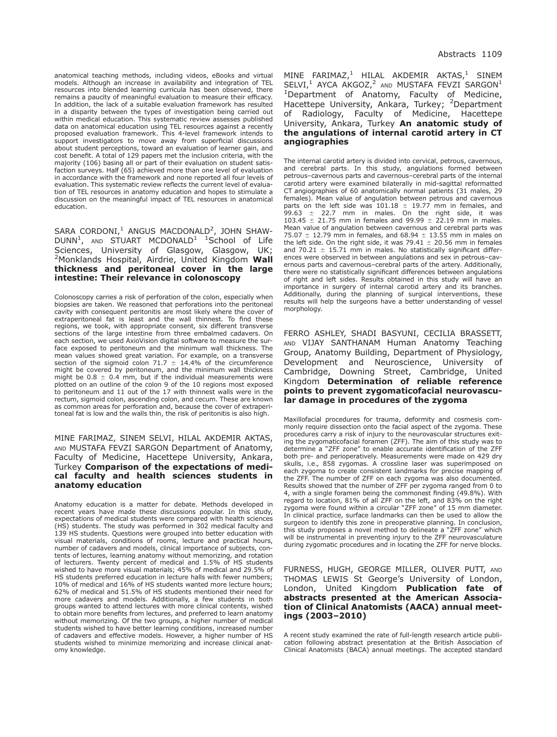anatomical teaching methods, including videos, eBooks and virtual models. Although an increase in availability and integration of TEL resources into blended learning curricula has been observed, there remains a paucity of meaningful evaluation to measure their efficacy. In addition, the lack of a suitable evaluation framework has resulted in a disparity between the types of investigation being carried out within medical education. This systematic review assesses published data on anatomical education using TEL resources against a recently proposed evaluation framework. This 4-level framework intends to support investigators to move away from superficial discussions about student perceptions, toward an evaluation of learner gain, and cost benefit. A total of 129 papers met the inclusion criteria, with the majority (106) basing all or part of their evaluation on student satisfaction surveys. Half (65) achieved more than one level of evaluation in accordance with the framework and none reported all four levels of evaluation. This systematic review reflects the current level of evaluation of TEL resources in anatomy education and hopes to stimulate a discussion on the meaningful impact of TEL resources in anatomical education.

SARA CORDONI, $^1$  ANGUS MACDONALD<sup>2</sup>, JOHN SHAW-DUNN<sup>1</sup>, AND STUART MCDONALD<sup>1</sup> <sup>1</sup>School of Life Sciences, University of Glasgow, Glasgow, UK;<br><sup>2</sup>Monklands Hospital, Airdrie, United Kingdom **Wall** thickness and peritoneal cover in the large intestine: Their relevance in colonoscopy

Colonoscopy carries a risk of perforation of the colon, especially when biopsies are taken. We reasoned that perforations into the peritoneal cavity with consequent peritonitis are most likely where the cover of extraperitoneal fat is least and the wall thinnest. To find these regions, we took, with appropriate consent, six different transverse sections of the large intestine from three embalmed cadavers. On each section, we used AxioVision digital software to measure the surface exposed to peritoneum and the minimum wall thickness. The mean values showed great variation. For example, on a transverse section of the sigmoid colon 71.7  $\pm$  14.4% of the circumference might be covered by peritoneum, and the minimum wall thickness might be  $0.8 \pm 0.4$  mm, but if the individual measurements were plotted on an outline of the colon 9 of the 10 regions most exposed to peritoneum and 11 out of the 17 with thinnest walls were in the rectum, sigmoid colon, ascending colon, and cecum. These are known as common areas for perforation and, because the cover of extraperitoneal fat is low and the walls thin, the risk of peritonitis is also high.

# MINE FARIMAZ, SINEM SELVI, HILAL AKDEMIR AKTAS, AND MUSTAFA FEVZI SARGON Department of Anatomy, Faculty of Medicine, Hacettepe University, Ankara, Turkey Comparison of the expectations of medical faculty and health sciences students in anatomy education

Anatomy education is a matter for debate. Methods developed in recent years have made these discussions popular. In this study, expectations of medical students were compared with health sciences (HS) students. The study was performed in 302 medical faculty and 139 HS students. Questions were grouped into better education with visual materials, conditions of rooms, lecture and practical hours, number of cadavers and models, clinical importance of subjects, contents of lectures, learning anatomy without memorizing, and rotation of lecturers. Twenty percent of medical and 1.5% of HS students wished to have more visual materials; 45% of medical and 29.5% of HS students preferred education in lecture halls with fewer numbers; 10% of medical and 16% of HS students wanted more lecture hours; 62% of medical and 51.5% of HS students mentioned their need for more cadavers and models. Additionally, a few students in both groups wanted to attend lectures with more clinical contents, wished to obtain more benefits from lectures, and preferred to learn anatomy without memorizing. Of the two groups, a higher number of medical students wished to have better learning conditions, increased number of cadavers and effective models. However, a higher number of HS students wished to minimize memorizing and increase clinical anatomy knowledge.

MINE FARIMAZ, $1$  HILAL AKDEMIR AKTAS, $1$  SINEM  $SELVI,$ <sup>1</sup> AYCA AKGOZ,<sup>2</sup> AND MUSTAFA FEVZI SARGON<sup>1</sup> <sup>1</sup>Department of Anatomy, Faculty of Medicine, Hacettepe University, Ankara, Turkey; <sup>2</sup>Department of Radiology, Faculty of Medicine, Hacettepe University, Ankara, Turkey An anatomic study of the angulations of internal carotid artery in CT angiographies

The internal carotid artery is divided into cervical, petrous, cavernous, and cerebral parts. In this study, angulations formed between petrous–cavernous parts and cavernous–cerebral parts of the internal carotid artery were examined bilaterally in mid-sagittal reformatted CT angiographies of 60 anatomically normal patients (31 males, 29 females). Mean value of angulation between petrous and cavernous parts on the left side was  $101.18 \pm 19.77$  mm in females, and 99.63  $\pm$  22.7 mm in males. On the right side, it was  $103.45 \pm 21.75$  mm in females and 99.99  $\pm$  22.19 mm in males. Mean value of angulation between cavernous and cerebral parts was 75.07  $\pm$  12.79 mm in females, and 68.94  $\pm$  13.55 mm in males on the left side. On the right side, it was  $79.41 \pm 20.56$  mm in females and 70.21  $\pm$  15.71 mm in males. No statistically significant differences were observed in between angulations and sex in petrous–cavernous parts and cavernous–cerebral parts of the artery. Additionally, there were no statistically significant differences between angulations of right and left sides. Results obtained in this study will have an importance in surgery of internal carotid artery and its branches. Additionally, during the planning of surgical interventions, these results will help the surgeons have a better understanding of vessel morphology.

FERRO ASHLEY, SHADI BASYUNI, CECILIA BRASSETT, AND VIJAY SANTHANAM Human Anatomy Teaching Group, Anatomy Building, Department of Physiology, Development and Neuroscience, University of Cambridge, Downing Street, Cambridge, United Kingdom Determination of reliable reference points to prevent zygomaticofacial neurovascular damage in procedures of the zygoma

Maxillofacial procedures for trauma, deformity and cosmesis commonly require dissection onto the facial aspect of the zygoma. These procedures carry a risk of injury to the neurovascular structures exiting the zygomaticofacial foramen (ZFF). The aim of this study was to determine a "ZFF zone" to enable accurate identification of the ZFF both pre- and perioperatively. Measurements were made on 429 dry skulls, i.e., 858 zygomas. A crossline laser was superimposed on each zygoma to create consistent landmarks for precise mapping of the ZFF. The number of ZFF on each zygoma was also documented. Results showed that the number of ZFF per zygoma ranged from 0 to 4, with a single foramen being the commonest finding (49.8%). With regard to location, 81% of all ZFF on the left, and 83% on the right zygoma were found within a circular "ZFF zone" of 15 mm diameter. In clinical practice, surface landmarks can then be used to allow the surgeon to identify this zone in preoperative planning. In conclusion, this study proposes a novel method to delineate a "ZFF zone" which will be instrumental in preventing injury to the ZFF neurovasculature during zygomatic procedures and in locating the ZFF for nerve blocks.

FURNESS, HUGH, GEORGE MILLER, OLIVER PUTT, AND THOMAS LEWIS St George's University of London, London, United Kingdom Publication fate of abstracts presented at the American Association of Clinical Anatomists (AACA) annual meetings (2003–2010)

A recent study examined the rate of full-length research article publication following abstract presentation at the British Association of Clinical Anatomists (BACA) annual meetings. The accepted standard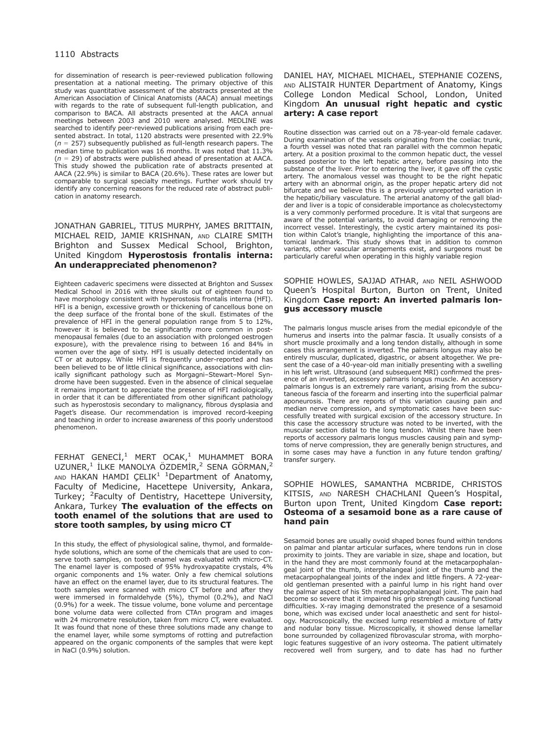for dissemination of research is peer-reviewed publication following presentation at a national meeting. The primary objective of this study was quantitative assessment of the abstracts presented at the American Association of Clinical Anatomists (AACA) annual meetings with regards to the rate of subsequent full-length publication, and comparison to BACA. All abstracts presented at the AACA annual meetings between 2003 and 2010 were analysed. MEDLINE was searched to identify peer-reviewed publications arising from each presented abstract. In total, 1120 abstracts were presented with 22.9% ( $n = 257$ ) subsequently published as full-length research papers. The median time to publication was 16 months. It was noted that 11.3% ( $n = 29$ ) of abstracts were published ahead of presentation at AACA. This study showed the publication rate of abstracts presented at AACA (22.9%) is similar to BACA (20.6%). These rates are lower but comparable to surgical specialty meetings. Further work should try identify any concerning reasons for the reduced rate of abstract publication in anatomy research.

JONATHAN GABRIEL, TITUS MURPHY, JAMES BRITTAIN, MICHAEL REID, JAMIE KRISHNAN, AND CLAIRE SMITH Brighton and Sussex Medical School, Brighton, United Kingdom Hyperostosis frontalis interna: An underappreciated phenomenon?

Eighteen cadaveric specimens were dissected at Brighton and Sussex Medical School in 2016 with three skulls out of eighteen found to have morphology consistent with hyperostosis frontalis interna (HFI). HFI is a benign, excessive growth or thickening of cancellous bone on the deep surface of the frontal bone of the skull. Estimates of the prevalence of HFI in the general population range from 5 to 12%, however it is believed to be significantly more common in postmenopausal females (due to an association with prolonged oestrogen exposure), with the prevalence rising to between 16 and 84% in women over the age of sixty. HFI is usually detected incidentally on CT or at autopsy. While HFI is frequently under-reported and has been believed to be of little clinical significance, associations with clinically significant pathology such as Morgagni–Stewart–Morel Syndrome have been suggested. Even in the absence of clinical sequelae it remains important to appreciate the presence of HFI radiologically, in order that it can be differentiated from other significant pathology such as hyperostosis secondary to malignancy, fibrous dysplasia and Paget's disease. Our recommendation is improved record-keeping and teaching in order to increase awareness of this poorly understood phenomenon.

FERHAT GENECI,<sup>1</sup> MERT OCAK,<sup>1</sup> MUHAMMET BORA UZUNER,<sup>1</sup> İLKE MANOLYA ÖZDEMİR,<sup>2</sup> SENA GÖRMAN,<sup>2</sup>  $AND$  HAKAN HAMDI ÇELIK<sup>1 1</sup> Department of Anatomy, Faculty of Medicine, Hacettepe University, Ankara, Turkey; <sup>2</sup>Faculty of Dentistry, Hacettepe University, Ankara, Turkey The evaluation of the effects on tooth enamel of the solutions that are used to store tooth samples, by using micro CT

In this study, the effect of physiological saline, thymol, and formaldehyde solutions, which are some of the chemicals that are used to conserve tooth samples, on tooth enamel was evaluated with micro-CT. The enamel layer is composed of 95% hydroxyapatite crystals, 4% organic components and 1% water. Only a few chemical solutions have an effect on the enamel layer, due to its structural features. The tooth samples were scanned with micro CT before and after they were immersed in formaldehyde (5%), thymol (0.2%), and NaCl (0.9%) for a week. The tissue volume, bone volume and percentage bone volume data were collected from CTAn program and images with 24 micrometre resolution, taken from micro CT, were evaluated. It was found that none of these three solutions made any change to the enamel layer, while some symptoms of rotting and putrefaction appeared on the organic components of the samples that were kept in NaCl (0.9%) solution.

DANIEL HAY, MICHAEL MICHAEL, STEPHANIE COZENS, AND ALISTAIR HUNTER Department of Anatomy, Kings College London Medical School, London, United Kingdom An unusual right hepatic and cystic artery: A case report

Routine dissection was carried out on a 78-year-old female cadaver. During examination of the vessels originating from the coeliac trunk, a fourth vessel was noted that ran parallel with the common hepatic artery. At a position proximal to the common hepatic duct, the vessel passed posterior to the left hepatic artery, before passing into the substance of the liver. Prior to entering the liver, it gave off the cystic artery. The anomalous vessel was thought to be the right hepatic artery with an abnormal origin, as the proper hepatic artery did not bifurcate and we believe this is a previously unreported variation in the hepatic/biliary vasculature. The arterial anatomy of the gall bladder and liver is a topic of considerable importance as cholecystectomy is a very commonly performed procedure. It is vital that surgeons are aware of the potential variants, to avoid damaging or removing the incorrect vessel. Interestingly, the cystic artery maintained its position within Calot's triangle, highlighting the importance of this anatomical landmark. This study shows that in addition to common variants, other vascular arrangements exist, and surgeons must be particularly careful when operating in this highly variable region

## SOPHIE HOWLES, SAJJAD ATHAR, AND NEIL ASHWOOD Queen's Hospital Burton, Burton on Trent, United Kingdom Case report: An inverted palmaris longus accessory muscle

The palmaris longus muscle arises from the medial epicondyle of the humerus and inserts into the palmar fascia. It usually consists of a short muscle proximally and a long tendon distally, although in some cases this arrangement is inverted. The palmaris longus may also be entirely muscular, duplicated, digastric, or absent altogether. We present the case of a 40-year-old man initially presenting with a swelling in his left wrist. Ultrasound (and subsequent MRI) confirmed the presence of an inverted, accessory palmaris longus muscle. An accessory palmaris longus is an extremely rare variant, arising from the subcutaneous fascia of the forearm and inserting into the superficial palmar aponeurosis. There are reports of this variation causing pain and median nerve compression, and symptomatic cases have been successfully treated with surgical excision of the accessory structure. In this case the accessory structure was noted to be inverted, with the muscular section distal to the long tendon. Whilst there have been reports of accessory palmaris longus muscles causing pain and symptoms of nerve compression, they are generally benign structures, and in some cases may have a function in any future tendon grafting/ transfer surgery.

# SOPHIE HOWLES, SAMANTHA MCBRIDE, CHRISTOS KITSIS, AND NARESH CHACHLANI Queen's Hospital, Burton upon Trent, United Kingdom Case report: Osteoma of a sesamoid bone as a rare cause of hand pain

Sesamoid bones are usually ovoid shaped bones found within tendons on palmar and plantar articular surfaces, where tendons run in close proximity to joints. They are variable in size, shape and location, but in the hand they are most commonly found at the metacarpophalangeal joint of the thumb, interphalangeal joint of the thumb and the metacarpophalangeal joints of the index and little fingers. A 72-yearold gentleman presented with a painful lump in his right hand over the palmar aspect of his 5th metacarpophalangeal joint. The pain had become so severe that it impaired his grip strength causing functional difficulties. X-ray imaging demonstrated the presence of a sesamoid bone, which was excised under local anaesthetic and sent for histology. Macroscopically, the excised lump resembled a mixture of fatty and nodular bony tissue. Microscopically, it showed dense lamellar bone surrounded by collagenized fibrovascular stroma, with morphologic features suggestive of an ivory osteoma. The patient ultimately recovered well from surgery, and to date has had no further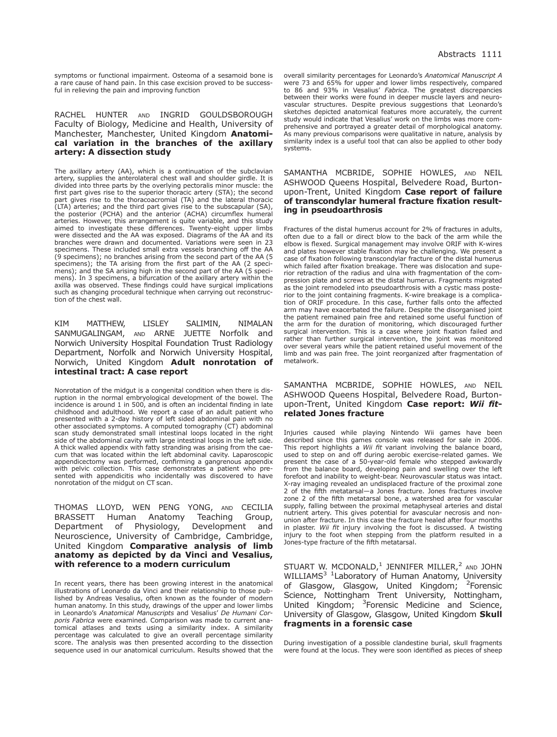symptoms or functional impairment. Osteoma of a sesamoid bone is a rare cause of hand pain. In this case excision proved to be successful in relieving the pain and improving function

# RACHEL HUNTER AND INGRID GOULDSBOROUGH Faculty of Biology, Medicine and Health, University of Manchester, Manchester, United Kingdom Anatomical variation in the branches of the axillary artery: A dissection study

The axillary artery (AA), which is a continuation of the subclavian artery, supplies the anterolateral chest wall and shoulder girdle. It is divided into three parts by the overlying pectoralis minor muscle: the first part gives rise to the superior thoracic artery (STA); the second part gives rise to the thoracoacromial (TA) and the lateral thoracic (LTA) arteries; and the third part gives rise to the subscapular (SA), the posterior (PCHA) and the anterior (ACHA) circumflex humeral arteries. However, this arrangement is quite variable, and this study aimed to investigate these differences. Twenty-eight upper limbs were dissected and the AA was exposed. Diagrams of the AA and its branches were drawn and documented. Variations were seen in 23 specimens. These included small extra vessels branching off the AA (9 specimens); no branches arising from the second part of the AA (5 specimens); the TA arising from the first part of the AA (2 speci-mens); and the SA arising high in the second part of the AA (5 specimens). In 3 specimens, a bifurcation of the axillary artery within the axilla was observed. These findings could have surgical implications such as changing procedural technique when carrying out reconstruction of the chest wall.

KIM MATTHEW, LISLEY SALIMIN, NIMALAN SANMUGALINGAM, AND ARNE JUETTE Norfolk and Norwich University Hospital Foundation Trust Radiology Department, Norfolk and Norwich University Hospital, Norwich, United Kingdom Adult nonrotation of intestinal tract: A case report

Nonrotation of the midgut is a congenital condition when there is disruption in the normal embryological development of the bowel. The incidence is around 1 in 500, and is often an incidental finding in late childhood and adulthood. We report a case of an adult patient who presented with a 2-day history of left sided abdominal pain with no other associated symptoms. A computed tomography (CT) abdominal scan study demonstrated small intestinal loops located in the right side of the abdominal cavity with large intestinal loops in the left side. A thick walled appendix with fatty stranding was arising from the caecum that was located within the left abdominal cavity. Laparoscopic appendicectomy was performed, confirming a gangrenous appendix with pelvic collection. This case demonstrates a patient who presented with appendicitis who incidentally was discovered to have nonrotation of the midgut on CT scan.

THOMAS LLOYD, WEN PENG YONG, AND CECILIA BRASSETT Human Anatomy Teaching Group, Department of Physiology, Development and Neuroscience, University of Cambridge, Cambridge, United Kingdom Comparative analysis of limb anatomy as depicted by da Vinci and Vesalius, with reference to a modern curriculum

In recent years, there has been growing interest in the anatomical illustrations of Leonardo da Vinci and their relationship to those published by Andreas Vesalius, often known as the founder of modern human anatomy. In this study, drawings of the upper and lower limbs in Leonardo's Anatomical Manuscripts and Vesalius' De Humani Corporis Fabrica were examined. Comparison was made to current anatomical atlases and texts using a similarity index. A similarity percentage was calculated to give an overall percentage similarity score. The analysis was then presented according to the dissection sequence used in our anatomical curriculum. Results showed that the overall similarity percentages for Leonardo's Anatomical Manuscript A were 73 and 65% for upper and lower limbs respectively, compared to 86 and 93% in Vesalius' Fabrica. The greatest discrepancies between their works were found in deeper muscle layers and neurovascular structures. Despite previous suggestions that Leonardo's sketches depicted anatomical features more accurately, the current study would indicate that Vesalius' work on the limbs was more comprehensive and portrayed a greater detail of morphological anatomy. As many previous comparisons were qualitative in nature, analysis by similarity index is a useful tool that can also be applied to other body systems.

SAMANTHA MCBRIDE, SOPHIE HOWLES, AND NEIL ASHWOOD Queens Hospital, Belvedere Road, Burtonupon-Trent, United Kingdom Case report of failure of transcondylar humeral fracture fixation resulting in pseudoarthrosis

Fractures of the distal humerus account for 2% of fractures in adults, often due to a fall or direct blow to the back of the arm while the elbow is flexed. Surgical management may involve ORIF with K-wires and plates however stable fixation may be challenging. We present a case of fixation following transcondylar fracture of the distal humerus which failed after fixation breakage. There was dislocation and superior retraction of the radius and ulna with fragmentation of the compression plate and screws at the distal humerus. Fragments migrated as the joint remodeled into pseudoarthrosis with a cystic mass posterior to the joint containing fragments. K-wire breakage is a complication of ORIF procedure. In this case, further falls onto the affected arm may have exacerbated the failure. Despite the disorganised joint the patient remained pain free and retained some useful function of the arm for the duration of monitoring, which discouraged further surgical intervention. This is a case where joint fixation failed and rather than further surgical intervention, the joint was monitored over several years while the patient retained useful movement of the limb and was pain free. The joint reorganized after fragmentation of metalwork.

# SAMANTHA MCBRIDE, SOPHIE HOWLES, AND NEIL ASHWOOD Queens Hospital, Belvedere Road, Burtonupon-Trent, United Kingdom Case report: Wii fitrelated Jones fracture

Injuries caused while playing Nintendo Wii games have been described since this games console was released for sale in 2006. This report highlights a Wii fit variant involving the balance board, used to step on and off during aerobic exercise-related games. We present the case of a 50-year-old female who stepped awkwardly from the balance board, developing pain and swelling over the left forefoot and inability to weight-bear. Neurovascular status was intact. X-ray imaging revealed an undisplaced fracture of the proximal zone 2 of the fifth metatarsal—a Jones fracture. Jones fractures involve zone 2 of the fifth metatarsal bone, a watershed area for vascular supply, falling between the proximal metaphyseal arteries and distal nutrient artery. This gives potential for avascular necrosis and nonunion after fracture. In this case the fracture healed after four months in plaster. Wii fit injury involving the foot is discussed. A twisting injury to the foot when stepping from the platform resulted in a Jones-type fracture of the fifth metatarsal.

STUART W. MCDONALD, $1$  JENNIFER MILLER, $2$  and JOHN WILLIAMS<sup>3 1</sup> Laboratory of Human Anatomy, University of Glasgow, Glasgow, United Kingdom; <sup>2</sup>Forensic Science, Nottingham Trent University, Nottingham, United Kingdom; <sup>3</sup>Forensic Medicine and Science, University of Glasgow, Glasgow, United Kingdom Skull fragments in a forensic case

During investigation of a possible clandestine burial, skull fragments were found at the locus. They were soon identified as pieces of sheep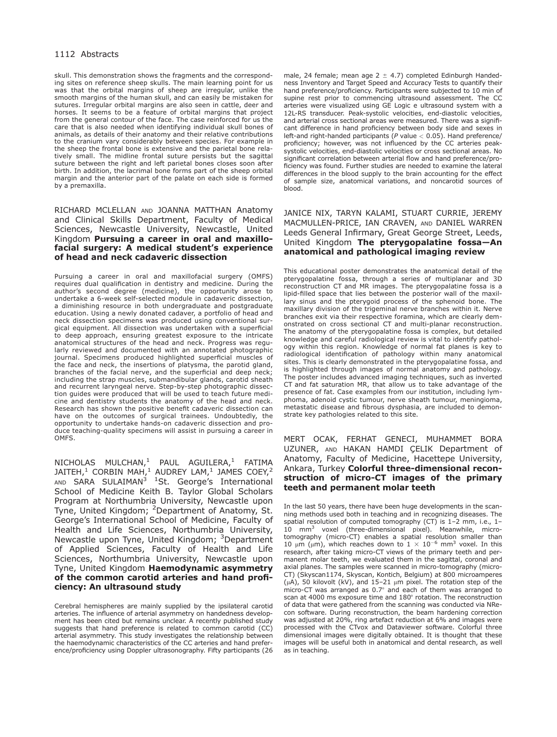skull. This demonstration shows the fragments and the corresponding sites on reference sheep skulls. The main learning point for us was that the orbital margins of sheep are irregular, unlike the smooth margins of the human skull, and can easily be mistaken for sutures. Irregular orbital margins are also seen in cattle, deer and horses. It seems to be a feature of orbital margins that project from the general contour of the face. The case reinforced for us the care that is also needed when identifying individual skull bones of animals, as details of their anatomy and their relative contributions to the cranium vary considerably between species. For example in the sheep the frontal bone is extensive and the parietal bone relatively small. The midline frontal suture persists but the sagittal suture between the right and left parietal bones closes soon after birth. In addition, the lacrimal bone forms part of the sheep orbital margin and the anterior part of the palate on each side is formed by a premaxilla.

RICHARD MCLELLAN AND JOANNA MATTHAN Anatomy and Clinical Skills Department, Faculty of Medical Sciences, Newcastle University, Newcastle, United Kingdom Pursuing a career in oral and maxillofacial surgery: A medical student's experience of head and neck cadaveric dissection

Pursuing a career in oral and maxillofacial surgery (OMFS) requires dual qualification in dentistry and medicine. During the author's second degree (medicine), the opportunity arose to undertake a 6-week self-selected module in cadaveric dissection, a diminishing resource in both undergraduate and postgraduate education. Using a newly donated cadaver, a portfolio of head and neck dissection specimens was produced using conventional surgical equipment. All dissection was undertaken with a superficial to deep approach, ensuring greatest exposure to the intricate anatomical structures of the head and neck. Progress was regularly reviewed and documented with an annotated photographic journal. Specimens produced highlighted superficial muscles of the face and neck, the insertions of platysma, the parotid gland, branches of the facial nerve, and the superficial and deep neck; including the strap muscles, submandibular glands, carotid sheath and recurrent laryngeal nerve. Step-by-step photographic dissection guides were produced that will be used to teach future medicine and dentistry students the anatomy of the head and neck. Research has shown the positive benefit cadaveric dissection can have on the outcomes of surgical trainees. Undoubtedly, the opportunity to undertake hands-on cadaveric dissection and produce teaching-quality specimens will assist in pursuing a career in OMFS.

 $NICHOLAS$   $MULCHAN<sub>2</sub><sup>1</sup>$  paul aguilera,<sup>1</sup> fatima JAITEH, $^1$  CORBIN MAH, $^1$  AUDREY LAM, $^1$  JAMES COEY, $^2$ AND SARA SULAIMAN<sup>3 1</sup>St. George's International School of Medicine Keith B. Taylor Global Scholars Program at Northumbria University, Newcastle upon Tyne, United Kingdom; <sup>2</sup>Department of Anatomy, St. George's International School of Medicine, Faculty of Health and Life Sciences, Northumbria University, Newcastle upon Tyne, United Kingdom; <sup>3</sup>Department of Applied Sciences, Faculty of Health and Life Sciences, Northumbria University, Newcastle upon Tyne, United Kingdom Haemodynamic asymmetry of the common carotid arteries and hand proficiency: An ultrasound study

Cerebral hemispheres are mainly supplied by the ipsilateral carotid arteries. The influence of arterial asymmetry on handedness development has been cited but remains unclear. A recently published study suggests that hand preference is related to common carotid (CC) arterial asymmetry. This study investigates the relationship between the haemodynamic characteristics of the CC arteries and hand preference/proficiency using Doppler ultrasonography. Fifty participants (26 male, 24 female; mean age  $2 \pm 4.7$ ) completed Edinburgh Handedness Inventory and Target Speed and Accuracy Tests to quantify their hand preference/proficiency. Participants were subjected to 10 min of supine rest prior to commencing ultrasound assessment. The CC arteries were visualized using GE Logic e ultrasound system with a 12L-RS transducer. Peak-systolic velocities, end-diastolic velocities, and arterial cross sectional areas were measured. There was a significant difference in hand proficiency between body side and sexes in left-and right-handed participants ( $P$  value  $<$  0.05). Hand preference/ proficiency; however, was not influenced by the CC arteries peaksystolic velocities, end-diastolic velocities or cross sectional areas. No significant correlation between arterial flow and hand preference/proficiency was found. Further studies are needed to examine the lateral differences in the blood supply to the brain accounting for the effect of sample size, anatomical variations, and noncarotid sources of blood.

JANICE NIX, TARYN KALAMI, STUART CURRIE, JEREMY MACMULLEN-PRICE, IAN CRAVEN, AND DANIEL WARREN Leeds General Infirmary, Great George Street, Leeds, United Kingdom The pterygopalatine fossa—An anatomical and pathological imaging review

This educational poster demonstrates the anatomical detail of the pterygopalatine fossa, through a series of multiplanar and 3D reconstruction CT and MR images. The pterygopalatine fossa is a lipid-filled space that lies between the posterior wall of the maxillary sinus and the pterygoid process of the sphenoid bone. The maxillary division of the trigeminal nerve branches within it. Nerve branches exit via their respective foramina, which are clearly demonstrated on cross sectional CT and multi-planar reconstruction. The anatomy of the pterygopalatine fossa is complex, but detailed knowledge and careful radiological review is vital to identify pathology within this region. Knowledge of normal fat planes is key to radiological identification of pathology within many anatomical sites. This is clearly demonstrated in the pterygopalatine fossa, and is highlighted through images of normal anatomy and pathology. The poster includes advanced imaging techniques, such as inverted CT and fat saturation MR, that allow us to take advantage of the presence of fat. Case examples from our institution, including lymphoma, adenoid cystic tumour, nerve sheath tumour, meningioma, metastatic disease and fibrous dysphasia, are included to demonstrate key pathologies related to this site.

MERT OCAK, FERHAT GENECI, MUHAMMET BORA UZUNER, AND HAKAN HAMDI ÇELIK Department of Anatomy, Faculty of Medicine, Hacettepe University, Ankara, Turkey Colorful three-dimensional reconstruction of micro-CT images of the primary teeth and permanent molar teeth

In the last 50 years, there have been huge developments in the scanning methods used both in teaching and in recognizing diseases. The spatial resolution of computed tomography (CT) is  $1-2$  mm, i.e.,  $1-10$  mm<sup>3</sup> voxel (three-dimensional pixel). Meanwhile, microvoxel (three-dimensional pixel). Meanwhile, microtomography (micro-CT) enables a spatial resolution smaller than<br>10  $\mu$ m ( $\mu$ m), which reaches down to 1  $\times$  10<sup>-6</sup> mm<sup>3</sup> voxel. In this research, after taking micro-CT views of the primary teeth and permanent molar teeth, we evaluated them in the sagittal, coronal and axial planes. The samples were scanned in micro-tomography (micro-CT) (Skyscan1174, Skyscan, Kontich, Belgium) at 800 microamperes  $(\mu A)$ , 50 kilovolt (kV), and 15-21  $\mu$ m pixel. The rotation step of the micro-CT was arranged as  $0.7^\circ$  and each of them was arranged to scan at 4000 ms exposure time and 180° rotation. The reconstruction of data that were gathered from the scanning was conducted via NRecon software. During reconstruction, the beam hardening correction was adjusted at 20%, ring artefact reduction at 6% and images were processed with the CTvox and Dataviewer software. Colorful three dimensional images were digitally obtained. It is thought that these images will be useful both in anatomical and dental research, as well as in teaching.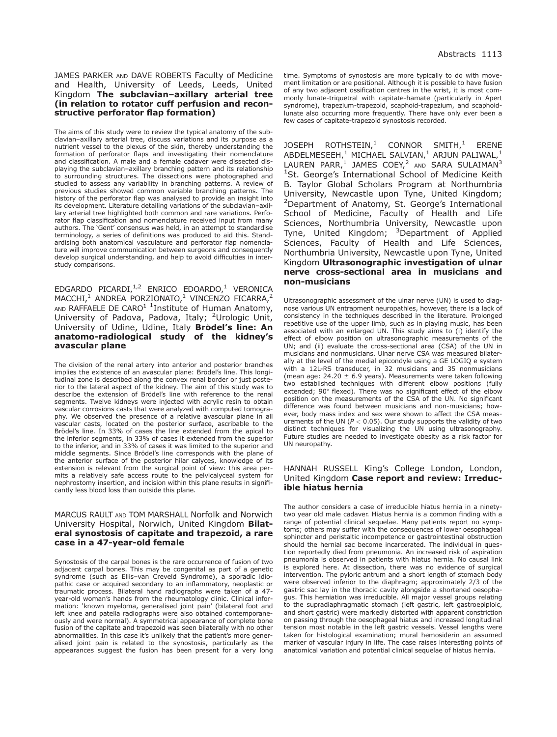JAMES PARKER AND DAVE ROBERTS Faculty of Medicine and Health, University of Leeds, Leeds, United Kingdom The subclavian–axillary arterial tree (in relation to rotator cuff perfusion and reconstructive perforator flap formation)

The aims of this study were to review the typical anatomy of the subclavian–axillary arterial tree, discuss variations and its purpose as a nutrient vessel to the plexus of the skin, thereby understanding the formation of perforator flaps and investigating their nomenclature and classification. A male and a female cadaver were dissected displaying the subclavian–axillary branching pattern and its relationship to surrounding structures. The dissections were photographed and studied to assess any variability in branching patterns. A review of previous studies showed common variable branching patterns. The history of the perforator flap was analysed to provide an insight into its development. Literature detailing variations of the subclavian–axillary arterial tree highlighted both common and rare variations. Perforator flap classification and nomenclature received input from many authors. The 'Gent' consensus was held, in an attempt to standardise terminology, a series of definitions was produced to aid this. Standardising both anatomical vasculature and perforator flap nomenclature will improve communication between surgeons and consequently develop surgical understanding, and help to avoid difficulties in interstudy comparisons.

EDGARDO PICARDI, $1,2$  ENRICO EDOARDO,<sup>1</sup> VERONICA MACCHI,<sup>1</sup> ANDREA PORZIONATO,<sup>1</sup> VINCENZO FICARRA,<sup>2</sup> AND RAFFAELE DE CARO<sup>1 1</sup>Institute of Human Anatomy, University of Padova, Padova, Italy; <sup>2</sup>Urologic Unit, University of Udine, Udine, Italy Brodel's line: An anatomo-radiological study of the kidney's avascular plane

The division of the renal artery into anterior and posterior branches implies the existence of an avascular plane: Brödel's line. This longitudinal zone is described along the convex renal border or just posterior to the lateral aspect of the kidney. The aim of this study was to describe the extension of Brödel's line with reference to the renal segments. Twelve kidneys were injected with acrylic resin to obtain vascular corrosions casts that were analyzed with computed tomography. We observed the presence of a relative avascular plane in all vascular casts, located on the posterior surface, ascribable to the Brödel's line. In 33% of cases the line extended from the apical to the inferior segments, in 33% of cases it extended from the superior to the inferior, and in 33% of cases it was limited to the superior and middle segments. Since Brödel's line corresponds with the plane of the anterior surface of the posterior hilar calyces, knowledge of its extension is relevant from the surgical point of view: this area permits a relatively safe access route to the pelvicalyceal system for nephrostomy insertion, and incision within this plane results in significantly less blood loss than outside this plane.

## MARCUS RAULT AND TOM MARSHALL Norfolk and Norwich University Hospital, Norwich, United Kingdom Bilateral synostosis of capitate and trapezoid, a rare case in a 47-year-old female

Synostosis of the carpal bones is the rare occurrence of fusion of two adjacent carpal bones. This may be congenital as part of a genetic syndrome (such as Ellis–van Creveld Syndrome), a sporadic idiopathic case or acquired secondary to an inflammatory, neoplastic or traumatic process. Bilateral hand radiographs were taken of a 47 year-old woman's hands from the rheumatology clinic. Clinical information: 'known myeloma, generalised joint pain' (bilateral foot and left knee and patella radiographs were also obtained contemporaneously and were normal). A symmetrical appearance of complete bone fusion of the capitate and trapezoid was seen bilaterally with no other abnormalities. In this case it's unlikely that the patient's more generalised joint pain is related to the synostosis, particularly as the appearances suggest the fusion has been present for a very long time. Symptoms of synostosis are more typically to do with movement limitation or are positional. Although it is possible to have fusion of any two adjacent ossification centres in the wrist, it is most commonly lunate-triquetral with capitate-hamate (particularly in Apert syndrome), trapezium-trapezoid, scaphoid-trapezium, and scaphoidlunate also occurring more frequently. There have only ever been a few cases of capitate-trapezoid synostosis recorded.

JOSEPH ROTHSTEIN, $1$  CONNOR SMITH, $1$  ERENE ABDELMESEEH,<sup>1</sup> MICHAEL SALVIAN,<sup>1</sup> ARJUN PALIWAL,<sup>1</sup> LAUREN PARR, $1$  JAMES COEY, $2$  AND SARA SULAIMAN<sup>3</sup> <sup>1</sup>St. George's International School of Medicine Keith B. Taylor Global Scholars Program at Northumbria University, Newcastle upon Tyne, United Kingdom; <sup>2</sup>Department of Anatomy, St. George's International School of Medicine, Faculty of Health and Life Sciences, Northumbria University, Newcastle upon Tyne, United Kingdom; <sup>3</sup>Department of Applied Sciences, Faculty of Health and Life Sciences, Northumbria University, Newcastle upon Tyne, United Kingdom Ultrasonographic investigation of ulnar nerve cross-sectional area in musicians and non-musicians

Ultrasonographic assessment of the ulnar nerve (UN) is used to diagnose various UN entrapment neuropathies, however, there is a lack of consistency in the techniques described in the literature. Prolonged repetitive use of the upper limb, such as in playing music, has been associated with an enlarged UN. This study aims to (i) identify the effect of elbow position on ultrasonographic measurements of the UN; and (ii) evaluate the cross-sectional area (CSA) of the UN in musicians and nonmusicians. Ulnar nerve CSA was measured bilaterally at the level of the medial epicondyle using a GE LOGIQ e system with a 12L-RS transducer, in 32 musicians and 35 nonmusicians (mean age:  $24.20 \pm 6.9$  years). Measurements were taken following two established techniques with different elbow positions (fully extended; 90° flexed). There was no significant effect of the elbow position on the measurements of the CSA of the UN. No significant difference was found between musicians and non-musicians; however, body mass index and sex were shown to affect the CSA measurements of the UN ( $P < 0.05$ ). Our study supports the validity of two distinct techniques for visualizing the UN using ultrasonography. Future studies are needed to investigate obesity as a risk factor for UN neuropathy.

#### HANNAH RUSSELL King's College London, London, United Kingdom Case report and review: Irreducible hiatus hernia

The author considers a case of irreducible hiatus hernia in a ninetytwo year old male cadaver. Hiatus hernia is a common finding with a range of potential clinical sequelae. Many patients report no symptoms; others may suffer with the consequences of lower oesophageal sphincter and peristaltic incompetence or gastrointestinal obstruction should the hernial sac become incarcerated. The individual in question reportedly died from pneumonia. An increased risk of aspiration pneumonia is observed in patients with hiatus hernia. No causal link is explored here. At dissection, there was no evidence of surgical intervention. The pyloric antrum and a short length of stomach body were observed inferior to the diaphragm; approximately 2/3 of the gastric sac lay in the thoracic cavity alongside a shortened oesophagus. This herniation was irreducible. All major vessel groups relating to the supradiaphragmatic stomach (left gastric, left gastroepiploic, and short gastric) were markedly distorted with apparent constriction on passing through the oesophageal hiatus and increased longitudinal tension most notable in the left gastric vessels. Vessel lengths were taken for histological examination; mural hemosiderin an assumed marker of vascular injury in life. The case raises interesting points of anatomical variation and potential clinical sequelae of hiatus hernia.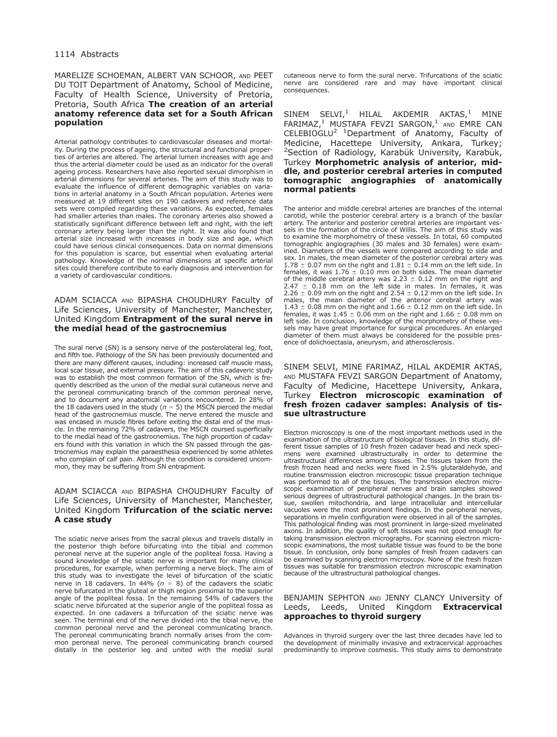MARELIZE SCHOEMAN, ALBERT VAN SCHOOR, AND PEET DU TOIT Department of Anatomy, School of Medicine, Faculty of Health Science, University of Pretoria, Pretoria, South Africa The creation of an arterial anatomy reference data set for a South African population

Arterial pathology contributes to cardiovascular diseases and mortality. During the process of ageing, the structural and functional properties of arteries are altered. The arterial lumen increases with age and thus the arterial diameter could be used as an indicator for the overall ageing process. Researchers have also reported sexual dimorphism in arterial dimensions for several arteries. The aim of this study was to evaluate the influence of different demographic variables on variations in arterial anatomy in a South African population. Arteries were measured at 19 different sites on 190 cadavers and reference data sets were compiled regarding these variations. As expected, females had smaller arteries than males. The coronary arteries also showed a statistically significant difference between left and right, with the left coronary artery being larger than the right. It was also found that arterial size increased with increases in body size and age, which could have serious clinical consequences. Data on normal dimensions for this population is scarce, but essential when evaluating arterial pathology. Knowledge of the normal dimensions at specific arterial sites could therefore contribute to early diagnosis and intervention for a variety of cardiovascular conditions.

ADAM SCIACCA AND BIPASHA CHOUDHURY Faculty of Life Sciences, University of Manchester, Manchester, United Kingdom Entrapment of the sural nerve in the medial head of the gastrocnemius

The sural nerve (SN) is a sensory nerve of the posterolateral leg, foot, and fifth toe. Pathology of the SN has been previously documented and there are many different causes, including: increased calf muscle mass, local scar tissue, and external pressure. The aim of this cadaveric study was to establish the most common formation of the SN, which is frequently described as the union of the medial sural cutaneous nerve and the peroneal communicating branch of the common peroneal nerve, and to document any anatomical variations encountered. In 28% of the 18 cadavers used in the study ( $n = 5$ ) the MSCN pierced the medial head of the gastrocnemius muscle. The nerve entered the muscle and was encased in muscle fibres before exiting the distal end of the muscle. In the remaining 72% of cadavers, the MSCN coursed superficially to the medial head of the gastrocnemius. The high proportion of cadavers found with this variation in which the SN passed through the gastrocnemius may explain the paraesthesia experienced by some athletes who complain of calf pain. Although the condition is considered uncommon, they may be suffering from SN entrapment.

# ADAM SCIACCA AND BIPASHA CHOUDHURY Faculty of Life Sciences, University of Manchester, Manchester, United Kingdom Trifurcation of the sciatic nerve: A case study

The sciatic nerve arises from the sacral plexus and travels distally in the posterior thigh before bifurcating into the tibial and common peroneal nerve at the superior angle of the popliteal fossa. Having a sound knowledge of the sciatic nerve is important for many clinical procedures, for example, when performing a nerve block. The aim of this study was to investigate the level of bifurcation of the sciatic nerve in 18 cadavers. In 44% ( $n = 8$ ) of the cadavers the sciatic nerve bifurcated in the gluteal or thigh region proximal to the superior angle of the popliteal fossa. In the remaining 54% of cadavers the sciatic nerve bifurcated at the superior angle of the popliteal fossa as expected. In one cadavers a trifurcation of the sciatic nerve was seen. The terminal end of the nerve divided into the tibial nerve, the common peroneal nerve and the peroneal communicating branch. The peroneal communicating branch normally arises from the common peroneal nerve. The peroneal communicating branch coursed distally in the posterior leg and united with the medial sural

cutaneous nerve to form the sural nerve. Trifurcations of the sciatic nerve are considered rare and may have important clinical consequences.

 $SINEM$  SELVI,<sup>1</sup> HILAL AKDEMIR AKTAS,<sup>1</sup> MINE  $FARIMAZ, <sup>1</sup>$  MUSTAFA FEVZI SARGON, $<sup>1</sup>$  and EMRE CAN</sup> CELEBIOGLU<sup>2</sup> <sup>1</sup>Department of Anatomy, Faculty of Medicine, Hacettepe University, Ankara, Turkey; <sup>2</sup>Section of Radiology, Karabük University, Karabük, Turkey Morphometric analysis of anterior, middle, and posterior cerebral arteries in computed tomographic angiographies of anatomically normal patients

The anterior and middle cerebral arteries are branches of the internal carotid, while the posterior cerebral artery is a branch of the basilar artery. The anterior and posterior cerebral arteries are important vessels in the formation of the circle of Willis. The aim of this study was to examine the morphometry of these vessels. In total, 60 computed tomographic angiographies (30 males and 30 females) were examined. Diameters of the vessels were compared according to side and sex. In males, the mean diameter of the posterior cerebral artery was  $1.78 \pm 0.07$  mm on the right and  $1.81 \pm 0.14$  mm on the left side. In females, it was  $1.76 \pm 0.10$  mm on both sides. The mean diameter of the middle cerebral artery was 2.23  $\pm$  0.12 mm on the right and 2.47  $\pm$  0.18 mm on the left side in males. In females, it was<br>2.26  $\pm$  0.09 mm on the right and 2.54  $\pm$  0.12 mm on the left side. In males, the mean diameter of the anterior cerebral artery was  $1.43 \pm 0.08$  mm on the right and  $1.66 \pm 0.12$  mm on the left side. In females, it was 1.45  $\pm$  0.06 mm on the right and 1.66  $\pm$  0.08 mm on left side. In conclusion, knowledge of the morphometry of these vessels may have great importance for surgical procedures. An enlarged diameter of them must always be considered for the possible presence of dolichoectasia, aneurysm, and atherosclerosis.

SINEM SELVI, MINE FARIMAZ, HILAL AKDEMIR AKTAS, AND MUSTAFA FEVZI SARGON Department of Anatomy, Faculty of Medicine, Hacettepe University, Ankara, Turkey Electron microscopic examination of fresh frozen cadaver samples: Analysis of tissue ultrastructure

Electron microscopy is one of the most important methods used in the examination of the ultrastructure of biological tissues. In this study, different tissue samples of 10 fresh frozen cadaver head and neck specimens were examined ultrastructurally in order to determine the ultrastructural differences among tissues. The tissues taken from the fresh frozen head and necks were fixed in 2.5% glutaraldehyde, and routine transmission electron microscopic tissue preparation technique was performed to all of the tissues. The transmission electron microscopic examination of peripheral nerves and brain samples showed serious degrees of ultrastructural pathological changes. In the brain tissue, swollen mitochondria, and large intracellular and intercellular vacuoles were the most prominent findings. In the peripheral nerves, separations in myelin configuration were observed in all of the samples. This pathological finding was most prominent in large-sized myelinated axons. In addition, the quality of soft tissues was not good enough for taking transmission electron micrographs. For scanning electron microscopic examinations, the most suitable tissue was found to be the bone tissue. In conclusion, only bone samples of fresh frozen cadavers can be examined by scanning electron microscopy. None of the fresh frozen tissues was suitable for transmission electron microscopic examination because of the ultrastructural pathological changes.

# BENJAMIN SEPHTON AND JENNY CLANCY University of Leeds, Leeds, United Kingdom Extracervical approaches to thyroid surgery

Advances in thyroid surgery over the last three decades have led to the development of minimally invasive and extracervical approaches predominantly to improve cosmesis. This study aims to demonstrate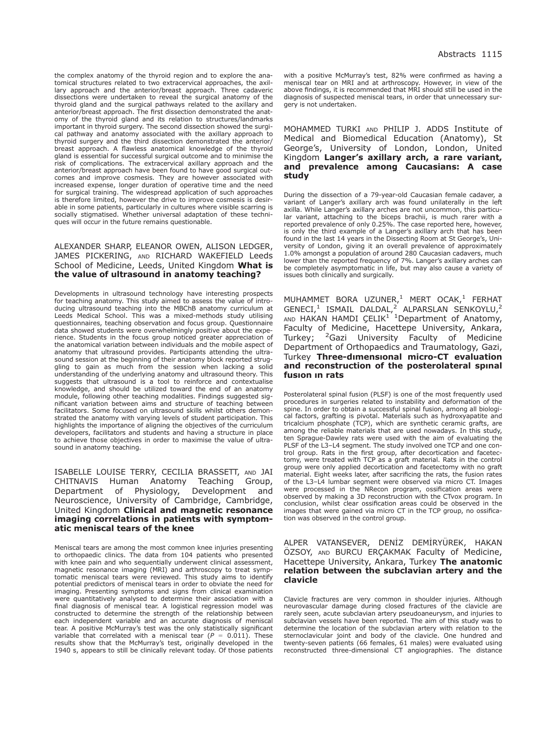the complex anatomy of the thyroid region and to explore the anatomical structures related to two extracervical approaches, the axillary approach and the anterior/breast approach. Three cadaveric dissections were undertaken to reveal the surgical anatomy of the thyroid gland and the surgical pathways related to the axillary and anterior/breast approach. The first dissection demonstrated the anatomy of the thyroid gland and its relation to structures/landmarks important in thyroid surgery. The second dissection showed the surgical pathway and anatomy associated with the axillary approach to thyroid surgery and the third dissection demonstrated the anterior/ breast approach. A flawless anatomical knowledge of the thyroid gland is essential for successful surgical outcome and to minimise the risk of complications. The extracervical axillary approach and the anterior/breast approach have been found to have good surgical outcomes and improve cosmesis. They are however associated with increased expense, longer duration of operative time and the need for surgical training. The widespread application of such approaches is therefore limited, however the drive to improve cosmesis is desirable in some patients, particularly in cultures where visible scarring is socially stigmatised. Whether universal adaptation of these techniques will occur in the future remains questionable.

# ALEXANDER SHARP, ELEANOR OWEN, ALISON LEDGER, JAMES PICKERING, AND RICHARD WAKEFIELD Leeds School of Medicine, Leeds, United Kingdom What is the value of ultrasound in anatomy teaching?

Developments in ultrasound technology have interesting prospects for teaching anatomy. This study aimed to assess the value of introducing ultrasound teaching into the MBChB anatomy curriculum at Leeds Medical School. This was a mixed-methods study utilising questionnaires, teaching observation and focus group. Questionnaire data showed students were overwhelmingly positive about the experience. Students in the focus group noticed greater appreciation of the anatomical variation between individuals and the mobile aspect of anatomy that ultrasound provides. Participants attending the ultrasound session at the beginning of their anatomy block reported struggling to gain as much from the session when lacking a solid understanding of the underlying anatomy and ultrasound theory. This suggests that ultrasound is a tool to reinforce and contextualise knowledge, and should be utilized toward the end of an anatomy module, following other teaching modalities. Findings suggested significant variation between aims and structure of teaching between facilitators. Some focused on ultrasound skills whilst others demonstrated the anatomy with varying levels of student participation. This highlights the importance of aligning the objectives of the curriculum developers, facilitators and students and having a structure in place to achieve those objectives in order to maximise the value of ultrasound in anatomy teaching.

ISABELLE LOUISE TERRY, CECILIA BRASSETT, AND JAI CHITNAVIS Human Anatomy Teaching Group, Department of Physiology, Development and Neuroscience, University of Cambridge, Cambridge, United Kingdom Clinical and magnetic resonance imaging correlations in patients with symptomatic meniscal tears of the knee

Meniscal tears are among the most common knee injuries presenting to orthopaedic clinics. The data from 104 patients who presented with knee pain and who sequentially underwent clinical assessment, magnetic resonance imaging (MRI) and arthroscopy to treat symptomatic meniscal tears were reviewed. This study aims to identify potential predictors of meniscal tears in order to obviate the need for imaging. Presenting symptoms and signs from clinical examination were quantitatively analysed to determine their association with a final diagnosis of meniscal tear. A logistical regression model was constructed to determine the strength of the relationship between each independent variable and an accurate diagnosis of meniscal tear. A positive McMurray's test was the only statistically significant variable that correlated with a meniscal tear ( $P = 0.011$ ). These results show that the McMurray's test, originally developed in the 1940 s, appears to still be clinically relevant today. Of those patients with a positive McMurray's test, 82% were confirmed as having a meniscal tear on MRI and at arthroscopy. However, in view of the above findings, it is recommended that MRI should still be used in the diagnosis of suspected meniscal tears, in order that unnecessary surgery is not undertaken.

MOHAMMED TURKI AND PHILIP J. ADDS Institute of Medical and Biomedical Education (Anatomy), St George's, University of London, London, United Kingdom Langer's axillary arch, a rare variant, and prevalence among Caucasians: A case study

During the dissection of a 79-year-old Caucasian female cadaver, a variant of Langer's axillary arch was found unilaterally in the left axilla. While Langer's axillary arches are not uncommon, this particular variant, attaching to the biceps brachii, is much rarer with a reported prevalence of only 0.25%. The case reported here, however, is only the third example of a Langer's axillary arch that has been found in the last 14 years in the Dissecting Room at St George's, University of London, giving it an overall prevalence of approximately 1.0% amongst a population of around 280 Caucasian cadavers, much lower than the reported frequency of 7%. Langer's axillary arches can be completely asymptomatic in life, but may also cause a variety of issues both clinically and surgically.

MUHAMMET BORA UZUNER, $1$  MERT OCAK, $1$  FERHAT  $GENECI$ , ISMAIL DALDAL,<sup>2</sup> ALPARSLAN SENKOYLU,<sup>2</sup> AND HAKAN HAMDI ÇELIK<sup>1' 1</sup>Department of Anatomy, Faculty of Medicine, Hacettepe University, Ankara, Turkey; <sup>2</sup>Gazi University Faculty of Medicine Department of Orthopaedics and Traumatology, Gazi, Turkey Three-dımensıonal micro-CT evaluation and reconstruction of the posterolateral spınal fusıon ın rats

Posterolateral spinal fusion (PLSF) is one of the most frequently used procedures in surgeries related to instability and deformation of the spine. In order to obtain a successful spinal fusion, among all biological factors, grafting is pivotal. Materials such as hydroxyapatite and tricalcium phosphate (TCP), which are synthetic ceramic grafts, are among the reliable materials that are used nowadays. In this study, ten Sprague-Dawley rats were used with the aim of evaluating the PLSF of the L3–L4 segment. The study involved one TCP and one control group. Rats in the first group, after decortication and facetec-tomy, were treated with TCP as a graft material. Rats in the control group were only applied decortication and facetectomy with no graft material. Eight weeks later, after sacrificing the rats, the fusion rates of the L3–L4 lumbar segment were observed via micro CT. Images were processed in the NRecon program, ossification areas were observed by making a 3D reconstruction with the CTvox program. In conclusion, whilst clear ossification areas could be observed in the images that were gained via micro CT in the TCP group, no ossification was observed in the control group.

ALPER VATANSEVER, DENİZ DEMİRYÜREK, HAKAN ÖZSOY, AND BURCU ERÇAKMAK Faculty of Medicine, Hacettepe University, Ankara, Turkey The anatomic relation between the subclavian artery and the clavicle

Clavicle fractures are very common in shoulder injuries. Although neurovascular damage during closed fractures of the clavicle are rarely seen, acute subclavian artery pseudoaneurysm, and injuries to subclavian vessels have been reported. The aim of this study was to determine the location of the subclavian artery with relation to the sternoclavicular joint and body of the clavicle. One hundred and twenty-seven patients (66 females, 61 males) were evaluated using reconstructed three-dimensional CT angiographies. The distance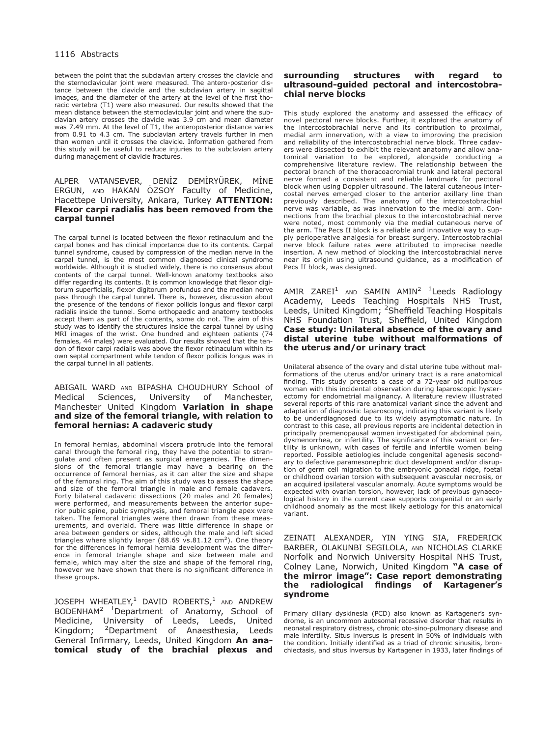between the point that the subclavian artery crosses the clavicle and the sternoclavicular joint were measured. The antero-posterior distance between the clavicle and the subclavian artery in sagittal images, and the diameter of the artery at the level of the first thoracic vertebra (T1) were also measured. Our results showed that the mean distance between the sternoclavicular joint and where the subclavian artery crosses the clavicle was 3.9 cm and mean diameter was 7.49 mm. At the level of T1, the anteroposterior distance varies from 0.91 to 4.3 cm. The subclavian artery travels further in men than women until it crosses the clavicle. Information gathered from this study will be useful to reduce injuries to the subclavian artery during management of clavicle fractures.

# ALPER VATANSEVER, DENİZ DEMİRYÜREK, MİNE ERGUN, AND HAKAN ÖZSOY Faculty of Medicine, Hacettepe University, Ankara, Turkey ATTENTION: Flexor carpi radialis has been removed from the carpal tunnel

The carpal tunnel is located between the flexor retinaculum and the carpal bones and has clinical importance due to its contents. Carpal tunnel syndrome, caused by compression of the median nerve in the carpal tunnel, is the most common diagnosed clinical syndrome worldwide. Although it is studied widely, there is no consensus about contents of the carpal tunnel. Well-known anatomy textbooks also differ regarding its contents. It is common knowledge that flexor digitorum superficialis, flexor digitorum profundus and the median nerve pass through the carpal tunnel. There is, however, discussion about the presence of the tendons of flexor pollicis longus and flexor carpi radialis inside the tunnel. Some orthopaedic and anatomy textbooks accept them as part of the contents, some do not. The aim of this study was to identify the structures inside the carpal tunnel by using MRI images of the wrist. One hundred and eighteen patients (74 females, 44 males) were evaluated. Our results showed that the tendon of flexor carpi radialis was above the flexor retinaculum within its own septal compartment while tendon of flexor pollicis longus was in the carpal tunnel in all patients.

## ABIGAIL WARD AND BIPASHA CHOUDHURY School of Medical Sciences, University of Manchester, Manchester United Kingdom Variation in shape and size of the femoral triangle, with relation to femoral hernias: A cadaveric study

In femoral hernias, abdominal viscera protrude into the femoral canal through the femoral ring, they have the potential to strangulate and often present as surgical emergencies. The dimensions of the femoral triangle may have a bearing on the occurrence of femoral hernias, as it can alter the size and shape of the femoral ring. The aim of this study was to assess the shape and size of the femoral triangle in male and female cadavers. Forty bilateral cadaveric dissections (20 males and 20 females) were performed, and measurements between the anterior superior pubic spine, pubic symphysis, and femoral triangle apex were taken. The femoral triangles were then drawn from these measurements, and overlaid. There was little difference in shape or area between genders or sides, although the male and left sided triangles where slightly larger (88.69  $vs.81.12 \text{ cm}^2$ ). One theory for the differences in femoral hernia development was the difference in femoral triangle shape and size between male and female, which may alter the size and shape of the femoral ring, however we have shown that there is no significant difference in these groups.

JOSEPH WHEATLEY,<sup>1</sup> DAVID ROBERTS,<sup>1</sup> AND ANDREW BODENHAM<sup>2</sup> <sup>1</sup>Department of Anatomy, School of Medicine, University of Leeds, Leeds, United Kingdom; <sup>2</sup> <sup>2</sup>Department of Anaesthesia, Leeds General Infirmary, Leeds, United Kingdom An anatomical study of the brachial plexus and

### surrounding structures with regard to ultrasound-guided pectoral and intercostobrachial nerve blocks

This study explored the anatomy and assessed the efficacy of novel pectoral nerve blocks. Further, it explored the anatomy of the intercostobrachial nerve and its contribution to proximal, medial arm innervation, with a view to improving the precision and reliability of the intercostobrachial nerve block. Three cadavers were dissected to exhibit the relevant anatomy and allow anatomical variation to be explored, alongside conducting a comprehensive literature review. The relationship between the pectoral branch of the thoracoacromial trunk and lateral pectoral nerve formed a consistent and reliable landmark for pectoral block when using Doppler ultrasound. The lateral cutaneous intercostal nerves emerged closer to the anterior axillary line than previously described. The anatomy of the intercostobrachial nerve was variable, as was innervation to the medial arm. Connections from the brachial plexus to the intercostobrachial nerve were noted, most commonly via the medial cutaneous nerve of the arm. The Pecs II block is a reliable and innovative way to supply perioperative analgesia for breast surgery. Intercostobrachial nerve block failure rates were attributed to imprecise needle insertion. A new method of blocking the intercostobrachial nerve near its origin using ultrasound guidance, as a modification of Pecs II block, was designed.

 $AMIR$  ZAREI<sup>1</sup> AND SAMIN AMIN<sup>2 1</sup> Leeds Radiology Academy, Leeds Teaching Hospitals NHS Trust, Leeds, United Kingdom; <sup>2</sup>Sheffield Teaching Hospitals NHS Foundation Trust, Sheffield, United Kingdom Case study: Unilateral absence of the ovary and distal uterine tube without malformations of the uterus and/or urinary tract

Unilateral absence of the ovary and distal uterine tube without malformations of the uterus and/or urinary tract is a rare anatomical finding. This study presents a case of a 72-year old nulliparous woman with this incidental observation during laparoscopic hysterectomy for endometrial malignancy. A literature review illustrated several reports of this rare anatomical variant since the advent and adaptation of diagnostic laparoscopy, indicating this variant is likely to be underdiagnosed due to its widely asymptomatic nature. In contrast to this case, all previous reports are incidental detection in principally premenopausal women investigated for abdominal pain, dysmenorrhea, or infertility. The significance of this variant on fertility is unknown, with cases of fertile and infertile women being reported. Possible aetiologies include congenital agenesis secondary to defective paramesonephric duct development and/or disruption of germ cell migration to the embryonic gonadal ridge, foetal or childhood ovarian torsion with subsequent avascular necrosis, or an acquired ipsilateral vascular anomaly. Acute symptoms would be expected with ovarian torsion, however, lack of previous gynaecological history in the current case supports congenital or an early childhood anomaly as the most likely aetiology for this anatomical variant.

ZEINATI ALEXANDER, YIN YING SIA, FREDERICK BARBER, OLAKUNBI SEGILOLA, AND NICHOLAS CLARKE Norfolk and Norwich University Hospital NHS Trust, Colney Lane, Norwich, United Kingdom "A case of the mirror image": Case report demonstrating the radiological findings of Kartagener's syndrome

Primary cilliary dyskinesia (PCD) also known as Kartagener's syndrome, is an uncommon autosomal recessive disorder that results in neonatal respiratory distress, chronic oto-sino-pulmonary disease and male infertility. Situs inversus is present in 50% of individuals with the condition. Initially identified as a triad of chronic sinusitis, bronchiectasis, and situs inversus by Kartagener in 1933, later findings of